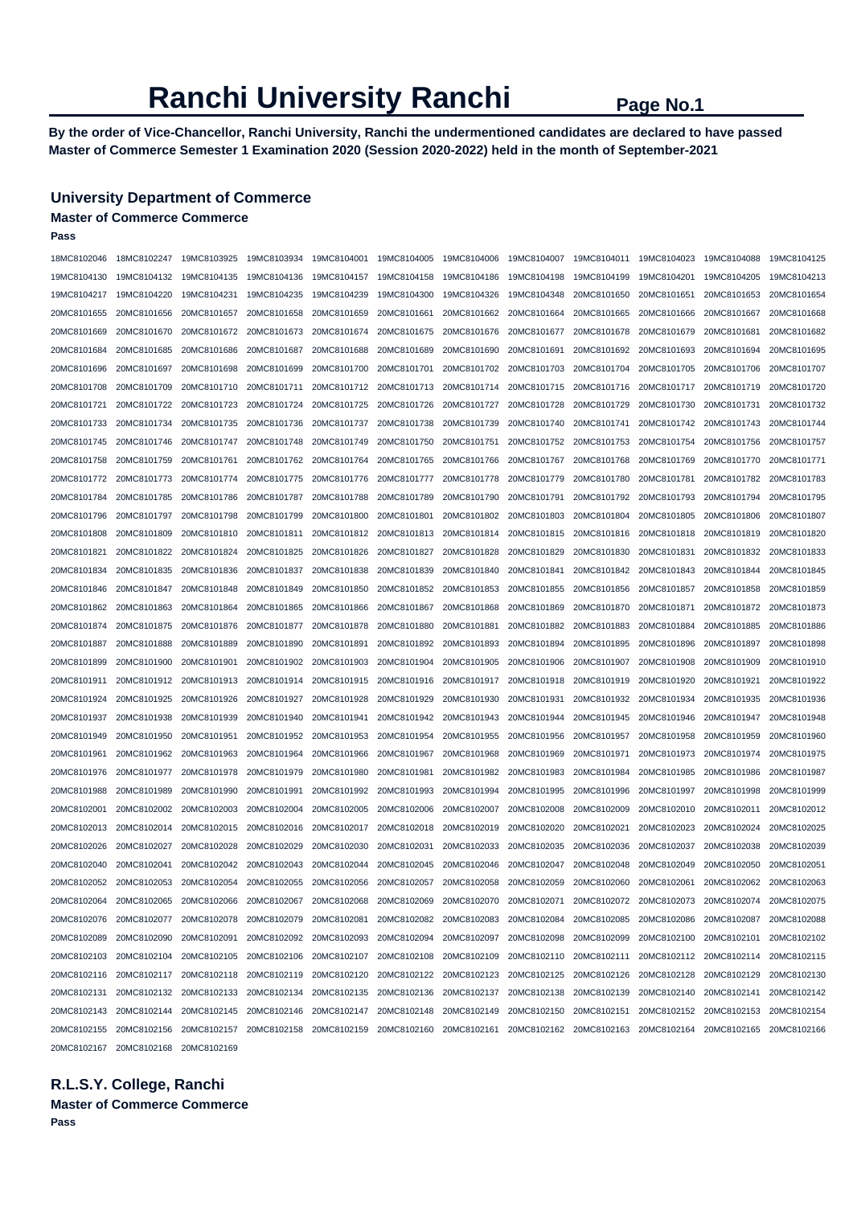**By the order of Vice-Chancellor, Ranchi University, Ranchi the undermentioned candidates are declared to have passed Master of Commerce Semester 1 Examination 2020 (Session 2020-2022) held in the month of September-2021** 

#### **University Department of Commerce**

#### **Master of Commerce Commerce**

**Pass** 

| 18MC8102046 | 18MC8102247                                                                                                                                     | 19MC8103925 | 19MC8103934             | 19MC8104001 | 19MC8104005 | 19MC8104006                         | 19MC8104007 | 19MC8104011 | 19MC8104023             | 19MC8104088 | 19MC8104125 |
|-------------|-------------------------------------------------------------------------------------------------------------------------------------------------|-------------|-------------------------|-------------|-------------|-------------------------------------|-------------|-------------|-------------------------|-------------|-------------|
| 19MC8104130 | 19MC8104132                                                                                                                                     | 19MC8104135 | 19MC8104136             | 19MC8104157 | 19MC8104158 | 19MC8104186                         | 19MC8104198 | 19MC8104199 | 19MC8104201             | 19MC8104205 | 19MC8104213 |
| 19MC8104217 | 19MC8104220                                                                                                                                     | 19MC8104231 | 19MC8104235             | 19MC8104239 | 19MC8104300 | 19MC8104326                         | 19MC8104348 | 20MC8101650 | 20MC8101651             | 20MC8101653 | 20MC8101654 |
| 20MC8101655 | 20MC8101656                                                                                                                                     | 20MC8101657 | 20MC8101658             | 20MC8101659 | 20MC8101661 | 20MC8101662                         | 20MC8101664 | 20MC8101665 | 20MC8101666             | 20MC8101667 | 20MC8101668 |
| 20MC8101669 | 20MC8101670                                                                                                                                     | 20MC8101672 | 20MC8101673             | 20MC8101674 | 20MC8101675 | 20MC8101676                         | 20MC8101677 | 20MC8101678 | 20MC8101679             | 20MC8101681 | 20MC8101682 |
| 20MC8101684 | 20MC8101685                                                                                                                                     | 20MC8101686 | 20MC8101687             | 20MC8101688 | 20MC8101689 | 20MC8101690                         | 20MC8101691 | 20MC8101692 | 20MC8101693             | 20MC8101694 | 20MC8101695 |
| 20MC8101696 | 20MC8101697                                                                                                                                     | 20MC8101698 | 20MC8101699             | 20MC8101700 | 20MC8101701 | 20MC8101702                         | 20MC8101703 | 20MC8101704 | 20MC8101705             | 20MC8101706 | 20MC8101707 |
| 20MC8101708 | 20MC8101709                                                                                                                                     | 20MC8101710 | 20MC8101711             | 20MC8101712 | 20MC8101713 | 20MC8101714                         | 20MC8101715 | 20MC8101716 | 20MC8101717             | 20MC8101719 | 20MC8101720 |
| 20MC8101721 | 20MC8101722                                                                                                                                     | 20MC8101723 | 20MC8101724             | 20MC8101725 | 20MC8101726 | 20MC8101727                         | 20MC8101728 | 20MC8101729 | 20MC8101730             | 20MC8101731 | 20MC8101732 |
| 20MC8101733 | 20MC8101734                                                                                                                                     | 20MC8101735 | 20MC8101736             | 20MC8101737 | 20MC8101738 | 20MC8101739                         | 20MC8101740 | 20MC8101741 | 20MC8101742             | 20MC8101743 | 20MC8101744 |
| 20MC8101745 | 20MC8101746                                                                                                                                     | 20MC8101747 | 20MC8101748             | 20MC8101749 | 20MC8101750 | 20MC8101751                         | 20MC8101752 | 20MC8101753 | 20MC8101754             | 20MC8101756 | 20MC8101757 |
| 20MC8101758 | 20MC8101759                                                                                                                                     | 20MC8101761 | 20MC8101762             | 20MC8101764 | 20MC8101765 | 20MC8101766                         | 20MC8101767 | 20MC8101768 | 20MC8101769             | 20MC8101770 | 20MC8101771 |
| 20MC8101772 | 20MC8101773                                                                                                                                     | 20MC8101774 | 20MC8101775             | 20MC8101776 | 20MC8101777 | 20MC8101778                         | 20MC8101779 | 20MC8101780 | 20MC8101781             | 20MC8101782 | 20MC8101783 |
| 20MC8101784 | 20MC8101785                                                                                                                                     | 20MC8101786 | 20MC8101787             | 20MC8101788 | 20MC8101789 | 20MC8101790                         | 20MC8101791 | 20MC8101792 | 20MC8101793             | 20MC8101794 | 20MC8101795 |
| 20MC8101796 | 20MC8101797                                                                                                                                     | 20MC8101798 | 20MC8101799             | 20MC8101800 | 20MC8101801 | 20MC8101802                         | 20MC8101803 | 20MC8101804 | 20MC8101805             | 20MC8101806 | 20MC8101807 |
| 20MC8101808 | 20MC8101809                                                                                                                                     | 20MC8101810 | 20MC8101811             | 20MC8101812 | 20MC8101813 | 20MC8101814                         | 20MC8101815 | 20MC8101816 | 20MC8101818             | 20MC8101819 | 20MC8101820 |
| 20MC8101821 | 20MC8101822                                                                                                                                     | 20MC8101824 | 20MC8101825             | 20MC8101826 | 20MC8101827 | 20MC8101828                         | 20MC8101829 | 20MC8101830 | 20MC8101831             | 20MC8101832 | 20MC8101833 |
| 20MC8101834 | 20MC8101835                                                                                                                                     | 20MC8101836 | 20MC8101837             | 20MC8101838 | 20MC8101839 | 20MC8101840                         | 20MC8101841 | 20MC8101842 | 20MC8101843             | 20MC8101844 | 20MC8101845 |
| 20MC8101846 | 20MC8101847                                                                                                                                     | 20MC8101848 | 20MC8101849             | 20MC8101850 | 20MC8101852 | 20MC8101853                         | 20MC8101855 | 20MC8101856 | 20MC8101857             | 20MC8101858 | 20MC8101859 |
| 20MC8101862 | 20MC8101863                                                                                                                                     | 20MC8101864 | 20MC8101865             | 20MC8101866 | 20MC8101867 | 20MC8101868                         | 20MC8101869 | 20MC8101870 | 20MC8101871             | 20MC8101872 | 20MC8101873 |
| 20MC8101874 | 20MC8101875                                                                                                                                     | 20MC8101876 | 20MC8101877             | 20MC8101878 | 20MC8101880 | 20MC8101881                         | 20MC8101882 | 20MC8101883 | 20MC8101884             | 20MC8101885 | 20MC8101886 |
| 20MC8101887 | 20MC8101888                                                                                                                                     | 20MC8101889 | 20MC8101890             | 20MC8101891 | 20MC8101892 | 20MC8101893                         | 20MC8101894 | 20MC8101895 | 20MC8101896             | 20MC8101897 | 20MC8101898 |
| 20MC8101899 | 20MC8101900                                                                                                                                     | 20MC8101901 | 20MC8101902             | 20MC8101903 | 20MC8101904 | 20MC8101905                         | 20MC8101906 | 20MC8101907 | 20MC8101908             | 20MC8101909 | 20MC8101910 |
| 20MC8101911 | 20MC8101912                                                                                                                                     | 20MC8101913 | 20MC8101914             | 20MC8101915 | 20MC8101916 | 20MC8101917                         | 20MC8101918 | 20MC8101919 | 20MC8101920             | 20MC8101921 | 20MC8101922 |
| 20MC8101924 | 20MC8101925                                                                                                                                     | 20MC8101926 | 20MC8101927             | 20MC8101928 | 20MC8101929 | 20MC8101930                         | 20MC8101931 | 20MC8101932 | 20MC8101934             | 20MC8101935 | 20MC8101936 |
| 20MC8101937 | 20MC8101938                                                                                                                                     | 20MC8101939 | 20MC8101940             | 20MC8101941 | 20MC8101942 | 20MC8101943                         | 20MC8101944 | 20MC8101945 | 20MC8101946             | 20MC8101947 | 20MC8101948 |
| 20MC8101949 | 20MC8101950                                                                                                                                     | 20MC8101951 | 20MC8101952             | 20MC8101953 | 20MC8101954 | 20MC8101955                         | 20MC8101956 | 20MC8101957 | 20MC8101958             | 20MC8101959 | 20MC8101960 |
| 20MC8101961 | 20MC8101962                                                                                                                                     | 20MC8101963 | 20MC8101964             | 20MC8101966 | 20MC8101967 | 20MC8101968                         | 20MC8101969 | 20MC8101971 | 20MC8101973             | 20MC8101974 | 20MC8101975 |
| 20MC8101976 | 20MC8101977                                                                                                                                     | 20MC8101978 | 20MC8101979             | 20MC8101980 | 20MC8101981 | 20MC8101982                         | 20MC8101983 | 20MC8101984 | 20MC8101985             | 20MC8101986 | 20MC8101987 |
| 20MC8101988 | 20MC8101989                                                                                                                                     | 20MC8101990 | 20MC8101991             | 20MC8101992 | 20MC8101993 | 20MC8101994                         | 20MC8101995 | 20MC8101996 | 20MC8101997             | 20MC8101998 | 20MC8101999 |
| 20MC8102001 | 20MC8102002                                                                                                                                     | 20MC8102003 | 20MC8102004             | 20MC8102005 | 20MC8102006 | 20MC8102007                         | 20MC8102008 | 20MC8102009 | 20MC8102010             | 20MC8102011 | 20MC8102012 |
| 20MC8102013 | 20MC8102014                                                                                                                                     | 20MC8102015 | 20MC8102016             | 20MC8102017 | 20MC8102018 | 20MC8102019                         | 20MC8102020 | 20MC8102021 | 20MC8102023             | 20MC8102024 | 20MC8102025 |
| 20MC8102026 | 20MC8102027                                                                                                                                     | 20MC8102028 | 20MC8102029             | 20MC8102030 | 20MC8102031 | 20MC8102033                         | 20MC8102035 | 20MC8102036 | 20MC8102037             | 20MC8102038 | 20MC8102039 |
| 20MC8102040 | 20MC8102041                                                                                                                                     | 20MC8102042 | 20MC8102043             | 20MC8102044 | 20MC8102045 | 20MC8102046                         | 20MC8102047 | 20MC8102048 | 20MC8102049             | 20MC8102050 | 20MC8102051 |
| 20MC8102052 | 20MC8102053                                                                                                                                     | 20MC8102054 | 20MC8102055             | 20MC8102056 | 20MC8102057 | 20MC8102058                         | 20MC8102059 | 20MC8102060 | 20MC8102061             | 20MC8102062 | 20MC8102063 |
| 20MC8102064 | 20MC8102065                                                                                                                                     | 20MC8102066 | 20MC8102067             | 20MC8102068 | 20MC8102069 | 20MC8102070 20MC8102071             |             |             | 20MC8102072 20MC8102073 | 20MC8102074 | 20MC8102075 |
| 20MC8102076 | 20MC8102077                                                                                                                                     | 20MC8102078 | 20MC8102079             | 20MC8102081 | 20MC8102082 | 20MC8102083 20MC8102084             |             | 20MC8102085 | 20MC8102086             | 20MC8102087 | 20MC8102088 |
| 20MC8102089 | 20MC8102090                                                                                                                                     | 20MC8102091 | 20MC8102092 20MC8102093 |             | 20MC8102094 | 20MC8102097                         | 20MC8102098 | 20MC8102099 | 20MC8102100             | 20MC8102101 | 20MC8102102 |
| 20MC8102103 | 20MC8102104                                                                                                                                     | 20MC8102105 | 20MC8102106             | 20MC8102107 | 20MC8102108 | 20MC8102109                         | 20MC8102110 | 20MC8102111 | 20MC8102112             | 20MC8102114 | 20MC8102115 |
|             | 20MC8102116 20MC8102117                                                                                                                         | 20MC8102118 | 20MC8102119             | 20MC8102120 |             | 20MC8102122 20MC8102123 20MC8102125 |             | 20MC8102126 | 20MC8102128             | 20MC8102129 | 20MC8102130 |
| 20MC8102131 | 20MC8102132 20MC8102133                                                                                                                         |             | 20MC8102134             | 20MC8102135 |             | 20MC8102136 20MC8102137 20MC8102138 |             | 20MC8102139 | 20MC8102140             | 20MC8102141 | 20MC8102142 |
|             |                                                                                                                                                 |             |                         |             |             | 20MC8102148 20MC8102149 20MC8102150 |             | 20MC8102151 | 20MC8102152             | 20MC8102153 | 20MC8102154 |
|             | 20MC8102155 20MC8102156 20MC8102157 20MC8102158 20MC8102159 20MC8102160 20MC8102161 20MC8102162 20MC8102163 20MC8102164 20MC8102165 20MC8102165 |             |                         |             |             |                                     |             |             |                         |             |             |
|             | 20MC8102167 20MC8102168 20MC8102169                                                                                                             |             |                         |             |             |                                     |             |             |                         |             |             |

**R.L.S.Y. College, Ranchi** 

**Master of Commerce Commerce Pass**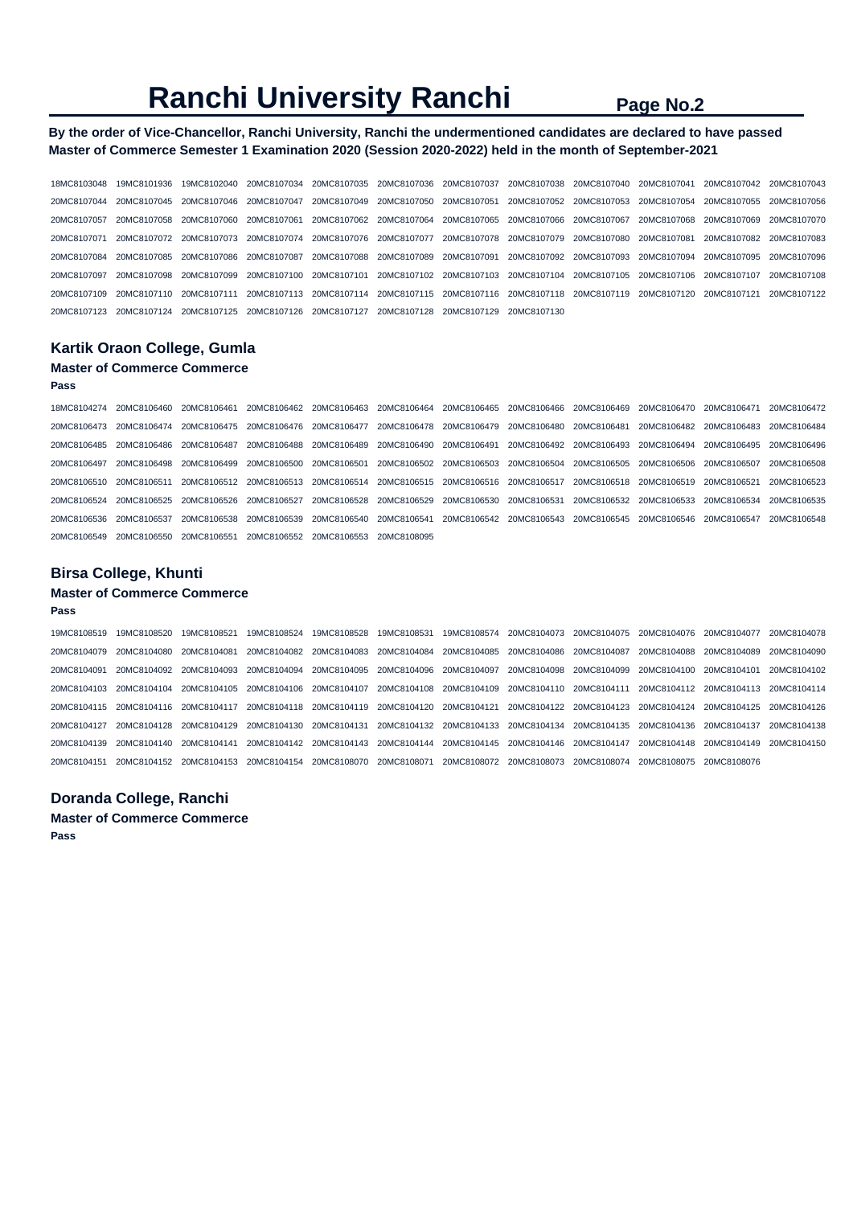#### **By the order of Vice-Chancellor, Ranchi University, Ranchi the undermentioned candidates are declared to have passed Master of Commerce Semester 1 Examination 2020 (Session 2020-2022) held in the month of September-2021**

| 18MC8103048 19MC8101936 19MC8102040 20MC8107034 20MC8107035 20MC8107036 20MC8107037 20MC8107038 20MC8107040 20MC8107041 20MC8107042 20MC8107043                                                             |                                                                                                             |  |  |  |  |
|-------------------------------------------------------------------------------------------------------------------------------------------------------------------------------------------------------------|-------------------------------------------------------------------------------------------------------------|--|--|--|--|
| 20MC8107044 20MC8107045 20MC8107046 20MC8107047 20MC8107049 20MC8107050 20MC8107051 20MC8107052 20MC8107053 20MC8107054 20MC8107055 20MC8107056                                                             |                                                                                                             |  |  |  |  |
| 20MC8107057 20MC8107058 20MC8107060 20MC8107061 20MC8107062 20MC8107064 20MC8107065 20MC8107066 20MC8107067 20MC8107068 20MC8107069 20MC8107069 20MC8107069 20MC8107069 20MC8107069 20MC8107069 20MC8107070 |                                                                                                             |  |  |  |  |
| 20MC8107071 20MC8107072 20MC8107073 20MC8107074 20MC8107076 20MC8107077 20MC8107078 20MC8107079 20MC8107080 20MC8107081 20MC8107082 20MC8107083                                                             |                                                                                                             |  |  |  |  |
| 20MC8107084 20MC8107085 20MC8107086 20MC8107087 20MC8107088 20MC8107089 20MC8107091 20MC8107092 20MC8107093 20MC8107094 20MC8107095 20MC8107096                                                             |                                                                                                             |  |  |  |  |
| 20MC8107097 20MC8107098 20MC8107099 20MC8107100 20MC8107101 20MC8107102 20MC8107103 20MC8107104 20MC8107105 20MC8107106 20MC8107107 20MC8107108                                                             |                                                                                                             |  |  |  |  |
| 20MC8107109 20MC8107110 20MC8107111                                                                                                                                                                         | 20MC8107113 20MC8107114 20MC8107115 20MC8107116 20MC8107118 20MC8107119 20MC8107120 20MC8107121 20MC8107122 |  |  |  |  |
| 20MC8107123 20MC8107124 20MC8107125 20MC8107126 20MC8107127 20MC8107128 20MC8107129 20MC8107130                                                                                                             |                                                                                                             |  |  |  |  |
|                                                                                                                                                                                                             |                                                                                                             |  |  |  |  |

### **Kartik Oraon College, Gumla**

### **Master of Commerce Commerce**

#### **Pass**

| 18MC8104274 20MC8106460                                                                         | 20MC8106461 | 20MC8106462 20MC8106463 20MC8106464                                                             |  | 20MC8106465  20MC8106466  20MC8106469  20MC8106470 |                         |             | 20MC8106471             | 20MC8106472 |
|-------------------------------------------------------------------------------------------------|-------------|-------------------------------------------------------------------------------------------------|--|----------------------------------------------------|-------------------------|-------------|-------------------------|-------------|
| 20MC8106473 20MC8106474 20MC8106475                                                             |             |                                                                                                 |  |                                                    |                         | 20MC8106482 | 20MC8106483             | 20MC8106484 |
| 20MC8106485 20MC8106486 20MC8106487                                                             |             | 20MC8106488 20MC8106489 20MC8106490 20MC8106491                                                 |  | 20MC8106492 20MC8106493 20MC8106494                |                         |             | 20MC8106495             | 20MC8106496 |
| 20MC8106497 20MC8106498                                                                         | 20MC8106499 | 20MC8106500 20MC8106501 20MC8106502 20MC8106503 20MC8106504 20MC8106505 20MC8106506 20MC8106507 |  |                                                    |                         |             |                         | 20MC8106508 |
| 20MC8106510 20MC8106511                                                                         |             | 20MC8106512 20MC8106513 20MC8106514 20MC8106515 20MC8106516 20MC8106517 20MC8106518 20MC8106519 |  |                                                    |                         |             | 20MC8106521             | 20MC8106523 |
| 20MC8106524 20MC8106525 20MC8106526 20MC8106527 20MC8106528 20MC8106529 20MC8106530 20MC8106531 |             |                                                                                                 |  |                                                    | 20MC8106532 20MC8106533 |             | 20MC8106534 20MC8106535 |             |
| 20MC8106536 20MC8106537                                                                         | 20MC8106538 | 20MC8106539 20MC8106540 20MC8106541 20MC8106542 20MC8106543 20MC8106545 20MC8106546 20MC8106547 |  |                                                    |                         |             |                         | 20MC8106548 |
| 20MC8106549 20MC8106550 20MC8106551                                                             |             | 20MC8106552 20MC8106553 20MC8108095                                                             |  |                                                    |                         |             |                         |             |

#### **Birsa College, Khunti**

#### **Master of Commerce Commerce**

#### **Pass**

19MC8108519 19MC8108520 19MC8108521 19MC8108524 19MC8108528 19MC8108531 19MC8108574 20MC8104073 20MC8104075 20MC8104076 20MC8104077 20MC8104078 20MC8104079 20MC8104080 20MC8104081 20MC8104082 20MC8104083 20MC8104084 20MC8104085 20MC8104086 20MC8104087 20MC8104088 20MC8104089 20MC8104090 20MC8104091 20MC8104092 20MC8104093 20MC8104094 20MC8104095 20MC8104096 20MC8104097 20MC8104098 20MC8104099 20MC8104100 20MC8104101 20MC8104102 20MC8104103 20MC8104104 20MC8104105 20MC8104106 20MC8104107 20MC8104108 20MC8104109 20MC8104110 20MC8104111 20MC8104112 20MC8104113 20MC8104114 20MC8104115 20MC8104116 20MC8104117 20MC8104118 20MC8104119 20MC8104120 20MC8104121 20MC8104122 20MC8104123 20MC8104124 20MC8104125 20MC8104126 20MC8104127 20MC8104128 20MC8104129 20MC8104130 20MC8104131 20MC8104132 20MC8104133 20MC8104134 20MC8104135 20MC8104136 20MC8104137 20MC8104138 20MC8104139 20MC8104140 20MC8104141 20MC8104142 20MC8104143 20MC8104144 20MC8104145 20MC8104146 20MC8104147 20MC8104148 20MC8104149 20MC8104150 20MC8104151 20MC8104152 20MC8104153 20MC8104154 20MC8108070 20MC8108071 20MC8108072 20MC8108073 20MC8108074 20MC8108075 20MC8108076

#### **Doranda College, Ranchi**

**Master of Commerce Commerce** 

**Pass**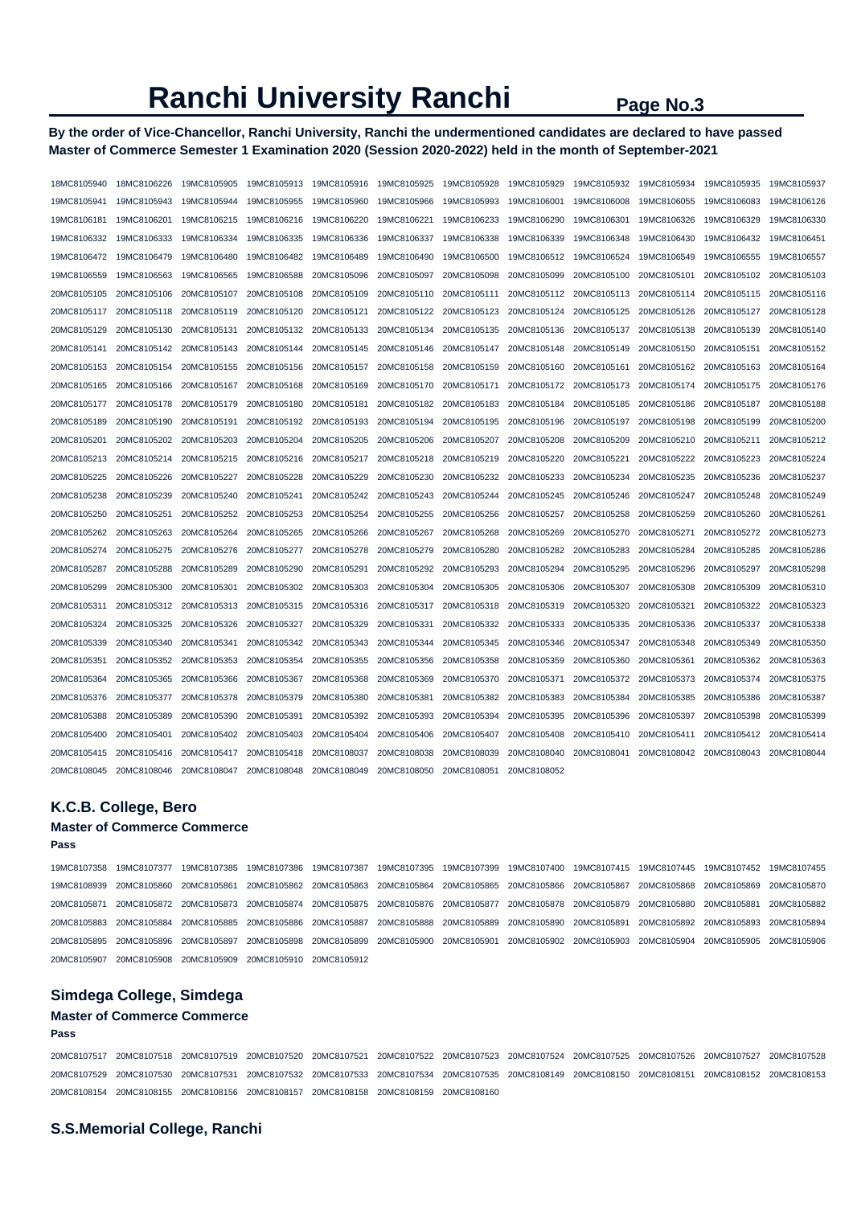**By the order of Vice-Chancellor, Ranchi University, Ranchi the undermentioned candidates are declared to have passed Master of Commerce Semester 1 Examination 2020 (Session 2020-2022) held in the month of September-2021** 

| 18MC8105940 | 18MC8106226 | 19MC8105905 | 19MC8105913 | 19MC8105916 | 19MC8105925 | 19MC8105928 | 19MC8105929 | 19MC8105932 | 19MC8105934 | 19MC8105935 | 19MC8105937 |
|-------------|-------------|-------------|-------------|-------------|-------------|-------------|-------------|-------------|-------------|-------------|-------------|
| 19MC8105941 | 19MC8105943 | 19MC8105944 | 19MC8105955 | 19MC8105960 | 19MC8105966 | 19MC8105993 | 19MC8106001 | 19MC8106008 | 19MC8106055 | 19MC8106083 | 19MC8106126 |
| 19MC8106181 | 19MC8106201 | 19MC8106215 | 19MC8106216 | 19MC8106220 | 19MC8106221 | 19MC8106233 | 19MC8106290 | 19MC8106301 | 19MC8106326 | 19MC8106329 | 19MC8106330 |
| 19MC8106332 | 19MC8106333 | 19MC8106334 | 19MC8106335 | 19MC8106336 | 19MC8106337 | 19MC8106338 | 19MC8106339 | 19MC8106348 | 19MC8106430 | 19MC8106432 | 19MC8106451 |
| 19MC8106472 | 19MC8106479 | 19MC8106480 | 19MC8106482 | 19MC8106489 | 19MC8106490 | 19MC8106500 | 19MC8106512 | 19MC8106524 | 19MC8106549 | 19MC8106555 | 19MC8106557 |
| 19MC8106559 | 19MC8106563 | 19MC8106565 | 19MC8106588 | 20MC8105096 | 20MC8105097 | 20MC8105098 | 20MC8105099 | 20MC8105100 | 20MC8105101 | 20MC8105102 | 20MC8105103 |
| 20MC8105105 | 20MC8105106 | 20MC8105107 | 20MC8105108 | 20MC8105109 | 20MC8105110 | 20MC8105111 | 20MC8105112 | 20MC8105113 | 20MC8105114 | 20MC8105115 | 20MC8105116 |
| 20MC8105117 | 20MC8105118 | 20MC8105119 | 20MC8105120 | 20MC8105121 | 20MC8105122 | 20MC8105123 | 20MC8105124 | 20MC8105125 | 20MC8105126 | 20MC8105127 | 20MC8105128 |
| 20MC8105129 | 20MC8105130 | 20MC8105131 | 20MC8105132 | 20MC8105133 | 20MC8105134 | 20MC8105135 | 20MC8105136 | 20MC8105137 | 20MC8105138 | 20MC8105139 | 20MC8105140 |
| 20MC8105141 | 20MC8105142 | 20MC8105143 | 20MC8105144 | 20MC8105145 | 20MC8105146 | 20MC8105147 | 20MC8105148 | 20MC8105149 | 20MC8105150 | 20MC8105151 | 20MC8105152 |
| 20MC8105153 | 20MC8105154 | 20MC8105155 | 20MC8105156 | 20MC8105157 | 20MC8105158 | 20MC8105159 | 20MC8105160 | 20MC8105161 | 20MC8105162 | 20MC8105163 | 20MC8105164 |
| 20MC8105165 | 20MC8105166 | 20MC8105167 | 20MC8105168 | 20MC8105169 | 20MC8105170 | 20MC8105171 | 20MC8105172 | 20MC8105173 | 20MC8105174 | 20MC8105175 | 20MC8105176 |
| 20MC8105177 | 20MC8105178 | 20MC8105179 | 20MC8105180 | 20MC8105181 | 20MC8105182 | 20MC8105183 | 20MC8105184 | 20MC8105185 | 20MC8105186 | 20MC8105187 | 20MC8105188 |
| 20MC8105189 | 20MC8105190 | 20MC8105191 | 20MC8105192 | 20MC8105193 | 20MC8105194 | 20MC8105195 | 20MC8105196 | 20MC8105197 | 20MC8105198 | 20MC8105199 | 20MC8105200 |
| 20MC8105201 | 20MC8105202 | 20MC8105203 | 20MC8105204 | 20MC8105205 | 20MC8105206 | 20MC8105207 | 20MC8105208 | 20MC8105209 | 20MC8105210 | 20MC8105211 | 20MC8105212 |
| 20MC8105213 | 20MC8105214 | 20MC8105215 | 20MC8105216 | 20MC8105217 | 20MC8105218 | 20MC8105219 | 20MC8105220 | 20MC8105221 | 20MC8105222 | 20MC8105223 | 20MC8105224 |
| 20MC8105225 | 20MC8105226 | 20MC8105227 | 20MC8105228 | 20MC8105229 | 20MC8105230 | 20MC8105232 | 20MC8105233 | 20MC8105234 | 20MC8105235 | 20MC8105236 | 20MC8105237 |
| 20MC8105238 | 20MC8105239 | 20MC8105240 | 20MC8105241 | 20MC8105242 | 20MC8105243 | 20MC8105244 | 20MC8105245 | 20MC8105246 | 20MC8105247 | 20MC8105248 | 20MC8105249 |
| 20MC8105250 | 20MC8105251 | 20MC8105252 | 20MC8105253 | 20MC8105254 | 20MC8105255 | 20MC8105256 | 20MC8105257 | 20MC8105258 | 20MC8105259 | 20MC8105260 | 20MC8105261 |
| 20MC8105262 | 20MC8105263 | 20MC8105264 | 20MC8105265 | 20MC8105266 | 20MC8105267 | 20MC8105268 | 20MC8105269 | 20MC8105270 | 20MC8105271 | 20MC8105272 | 20MC8105273 |
| 20MC8105274 | 20MC8105275 | 20MC8105276 | 20MC8105277 | 20MC8105278 | 20MC8105279 | 20MC8105280 | 20MC8105282 | 20MC8105283 | 20MC8105284 | 20MC8105285 | 20MC8105286 |
| 20MC8105287 | 20MC8105288 | 20MC8105289 | 20MC8105290 | 20MC8105291 | 20MC8105292 | 20MC8105293 | 20MC8105294 | 20MC8105295 | 20MC8105296 | 20MC8105297 | 20MC8105298 |
| 20MC8105299 | 20MC8105300 | 20MC8105301 | 20MC8105302 | 20MC8105303 | 20MC8105304 | 20MC8105305 | 20MC8105306 | 20MC8105307 | 20MC8105308 | 20MC8105309 | 20MC8105310 |
| 20MC8105311 | 20MC8105312 | 20MC8105313 | 20MC8105315 | 20MC8105316 | 20MC8105317 | 20MC8105318 | 20MC8105319 | 20MC8105320 | 20MC8105321 | 20MC8105322 | 20MC8105323 |
| 20MC8105324 | 20MC8105325 | 20MC8105326 | 20MC8105327 | 20MC8105329 | 20MC8105331 | 20MC8105332 | 20MC8105333 | 20MC8105335 | 20MC8105336 | 20MC8105337 | 20MC8105338 |
| 20MC8105339 | 20MC8105340 | 20MC8105341 | 20MC8105342 | 20MC8105343 | 20MC8105344 | 20MC8105345 | 20MC8105346 | 20MC8105347 | 20MC8105348 | 20MC8105349 | 20MC8105350 |
| 20MC8105351 | 20MC8105352 | 20MC8105353 | 20MC8105354 | 20MC8105355 | 20MC8105356 | 20MC8105358 | 20MC8105359 | 20MC8105360 | 20MC8105361 | 20MC8105362 | 20MC8105363 |
| 20MC8105364 | 20MC8105365 | 20MC8105366 | 20MC8105367 | 20MC8105368 | 20MC8105369 | 20MC8105370 | 20MC8105371 | 20MC8105372 | 20MC8105373 | 20MC8105374 | 20MC8105375 |
| 20MC8105376 | 20MC8105377 | 20MC8105378 | 20MC8105379 | 20MC8105380 | 20MC8105381 | 20MC8105382 | 20MC8105383 | 20MC8105384 | 20MC8105385 | 20MC8105386 | 20MC8105387 |
| 20MC8105388 | 20MC8105389 | 20MC8105390 | 20MC8105391 | 20MC8105392 | 20MC8105393 | 20MC8105394 | 20MC8105395 | 20MC8105396 | 20MC8105397 | 20MC8105398 | 20MC8105399 |
| 20MC8105400 | 20MC8105401 | 20MC8105402 | 20MC8105403 | 20MC8105404 | 20MC8105406 | 20MC8105407 | 20MC8105408 | 20MC8105410 | 20MC8105411 | 20MC8105412 | 20MC8105414 |
| 20MC8105415 | 20MC8105416 | 20MC8105417 | 20MC8105418 | 20MC8108037 | 20MC8108038 | 20MC8108039 | 20MC8108040 | 20MC8108041 | 20MC8108042 | 20MC8108043 | 20MC8108044 |
| 20MC8108045 | 20MC8108046 | 20MC8108047 | 20MC8108048 | 20MC8108049 | 20MC8108050 | 20MC8108051 | 20MC8108052 |             |             |             |             |

#### **K.C.B. College, Bero**

#### **Master of Commerce Commerce**

| 19MC8107358 19MC8107377 19MC8107385 19MC8107386 19MC8107387 19MC8107395 19MC8107399 19MC8107400 19MC8107415 19MC8107445 19MC8107452 19MC8107455                                       |  |  |  |  |  |
|---------------------------------------------------------------------------------------------------------------------------------------------------------------------------------------|--|--|--|--|--|
| 19MC8108939 20MC8105860 20MC8105861 20MC8105862 20MC8105863 20MC8105864 20MC8105865 20MC8105866 20MC8105867 20MC8105868 20MC8105869 20MC8105869 20MC8105869 20MC8105869 20MC8105867 0 |  |  |  |  |  |
| 20MC8105871 20MC8105872 20MC8105873 20MC8105874 20MC8105875 20MC8105876 20MC8105877 20MC8105878 20MC8105879 20MC8105880 20MC8105881 20MC8105882                                       |  |  |  |  |  |
| 20MC8105883 20MC8105884 20MC8105885 20MC8105886 20MC8105887 20MC8105888 20MC8105889 20MC8105890 20MC8105891 20MC8105892 20MC8105893 20MC8105892                                       |  |  |  |  |  |
| 20MC8105895 20MC8105896 20MC8105897 20MC8105898 20MC8105899 20MC8105900 20MC8105901 20MC8105902 20MC8105903 20MC8105904 20MC8105905 20MC8105906                                       |  |  |  |  |  |
|                                                                                                                                                                                       |  |  |  |  |  |

#### **Simdega College, Simdega**

#### **Master of Commerce Commerce**

**Pass** 

**Pass** 

20MC8107517 20MC8107518 20MC8107519 20MC8107520 20MC8107521 20MC8107522 20MC8107523 20MC8107524 20MC8107525 20MC8107526 20MC8107527 20MC8107528 20MC8107529 20MC8107530 20MC8107531 20MC8107532 20MC8107533 20MC8107534 20MC8107535 20MC8108149 20MC8108150 20MC8108151 20MC8108152 20MC8108153 20MC8108154 20MC8108155 20MC8108156 20MC8108157 20MC8108158 20MC8108159 20MC8108160

#### **S.S.Memorial College, Ranchi**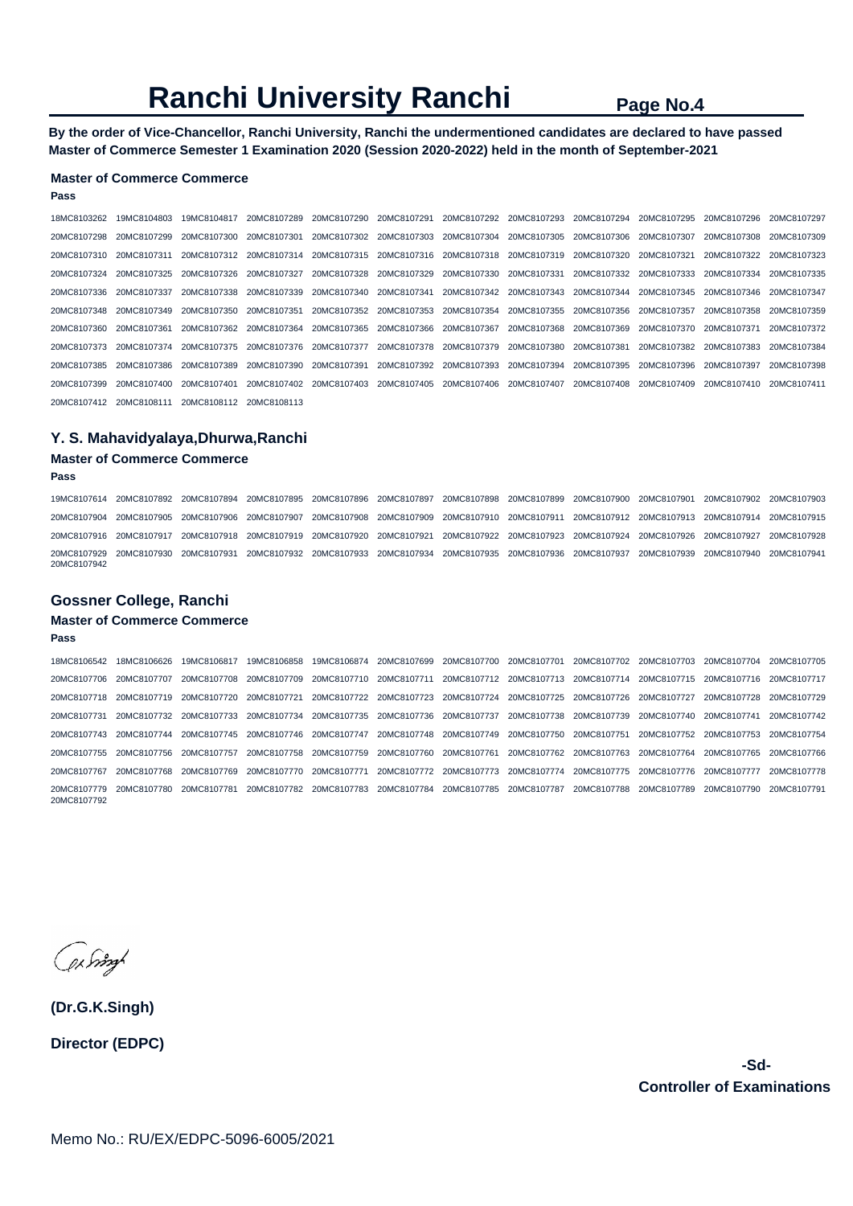**By the order of Vice-Chancellor, Ranchi University, Ranchi the undermentioned candidates are declared to have passed Master of Commerce Semester 1 Examination 2020 (Session 2020-2022) held in the month of September-2021** 

#### **Master of Commerce Commerce**

#### **Pass**

18MC8103262 19MC8104803 19MC8104817 20MC8107289 20MC8107290 20MC8107291 20MC8107292 20MC8107293 20MC8107294 20MC8107295 20MC8107296 20MC8107297 20MC8107298 20MC8107299 20MC8107300 20MC8107301 20MC8107302 20MC8107303 20MC8107304 20MC8107305 20MC8107306 20MC8107307 20MC8107308 20MC8107309 20MC8107310 20MC8107311 20MC8107312 20MC8107314 20MC8107315 20MC8107316 20MC8107318 20MC8107319 20MC8107320 20MC8107321 20MC8107322 20MC8107323 20MC8107324 20MC8107325 20MC8107326 20MC8107327 20MC8107328 20MC8107329 20MC8107330 20MC8107331 20MC8107332 20MC8107333 20MC8107334 20MC8107335 20MC8107336 20MC8107337 20MC8107338 20MC8107339 20MC8107340 20MC8107341 20MC8107342 20MC8107343 20MC8107344 20MC8107345 20MC8107346 20MC8107347 20MC8107348 20MC8107349 20MC8107350 20MC8107351 20MC8107352 20MC8107353 20MC8107354 20MC8107355 20MC8107356 20MC8107357 20MC8107358 20MC8107359 20MC8107360 20MC8107361 20MC8107362 20MC8107364 20MC8107365 20MC8107366 20MC8107367 20MC8107368 20MC8107369 20MC8107370 20MC8107371 20MC8107372 20MC8107373 20MC8107374 20MC8107375 20MC8107376 20MC8107377 20MC8107378 20MC8107379 20MC8107380 20MC8107381 20MC8107382 20MC8107383 20MC8107384 20MC8107385 20MC8107386 20MC8107389 20MC8107390 20MC8107391 20MC8107392 20MC8107393 20MC8107394 20MC8107395 20MC8107396 20MC8107397 20MC8107398 20MC8107399 20MC8107400 20MC8107401 20MC8107402 20MC8107403 20MC8107405 20MC8107406 20MC8107407 20MC8107408 20MC8107409 20MC8107410 20MC8107411 20MC8107412 20MC8108111 20MC8108112 20MC8108113

#### **Y. S. Mahavidyalaya,Dhurwa,Ranchi**

#### **Master of Commerce Commerce**

#### **Pass**

19MC8107614 20MC8107892 20MC8107894 20MC8107895 20MC8107896 20MC8107897 20MC8107898 20MC8107899 20MC8107900 20MC8107901 20MC8107902 20MC8107903 20MC8107904 20MC8107905 20MC8107906 20MC8107907 20MC8107908 20MC8107909 20MC8107910 20MC8107911 20MC8107912 20MC8107913 20MC8107914 20MC8107915 20MC8107916 20MC8107917 20MC8107918 20MC8107919 20MC8107920 20MC8107921 20MC8107922 20MC8107923 20MC8107924 20MC8107926 20MC8107927 20MC8107928 20MC8107929 20MC8107930 20MC8107931 20MC8107932 20MC8107933 20MC8107934 20MC8107935 20MC8107936 20MC8107937 20MC8107939 20MC8107940 20MC8107941 20MC8107942

#### **Gossner College, Ranchi**

#### **Master of Commerce Commerce**

**Pass** 

18MC8106542 18MC8106626 19MC8106817 19MC8106858 19MC8106874 20MC8107699 20MC8107700 20MC8107701 20MC8107702 20MC8107703 20MC8107704 20MC8107705 20MC8107706 20MC8107707 20MC8107708 20MC8107709 20MC8107710 20MC8107711 20MC8107712 20MC8107713 20MC8107714 20MC8107715 20MC8107716 20MC8107717 20MC8107718 20MC8107719 20MC8107720 20MC8107721 20MC8107722 20MC8107723 20MC8107724 20MC8107725 20MC8107726 20MC8107727 20MC8107728 20MC8107729 20MC8107731 20MC8107732 20MC8107733 20MC8107734 20MC8107735 20MC8107736 20MC8107737 20MC8107738 20MC8107739 20MC8107740 20MC8107741 20MC8107742 20MC8107743 20MC8107744 20MC8107745 20MC8107746 20MC8107747 20MC8107748 20MC8107749 20MC8107750 20MC8107751 20MC8107752 20MC8107753 20MC8107754 20MC8107755 20MC8107756 20MC8107757 20MC8107758 20MC8107759 20MC8107760 20MC8107761 20MC8107762 20MC8107763 20MC8107764 20MC8107765 20MC8107766 20MC8107767 20MC8107768 20MC8107769 20MC8107770 20MC8107771 20MC8107772 20MC8107773 20MC8107774 20MC8107775 20MC8107776 20MC8107777 20MC8107778 20MC8107779 20MC8107780 20MC8107781 20MC8107782 20MC8107783 20MC8107784 20MC8107785 20MC8107787 20MC8107788 20MC8107789 20MC8107790 20MC8107791 20MC8107792

ex Singl

**(Dr.G.K.Singh) Director (EDPC)**

> **-Sd-Controller of Examinations**